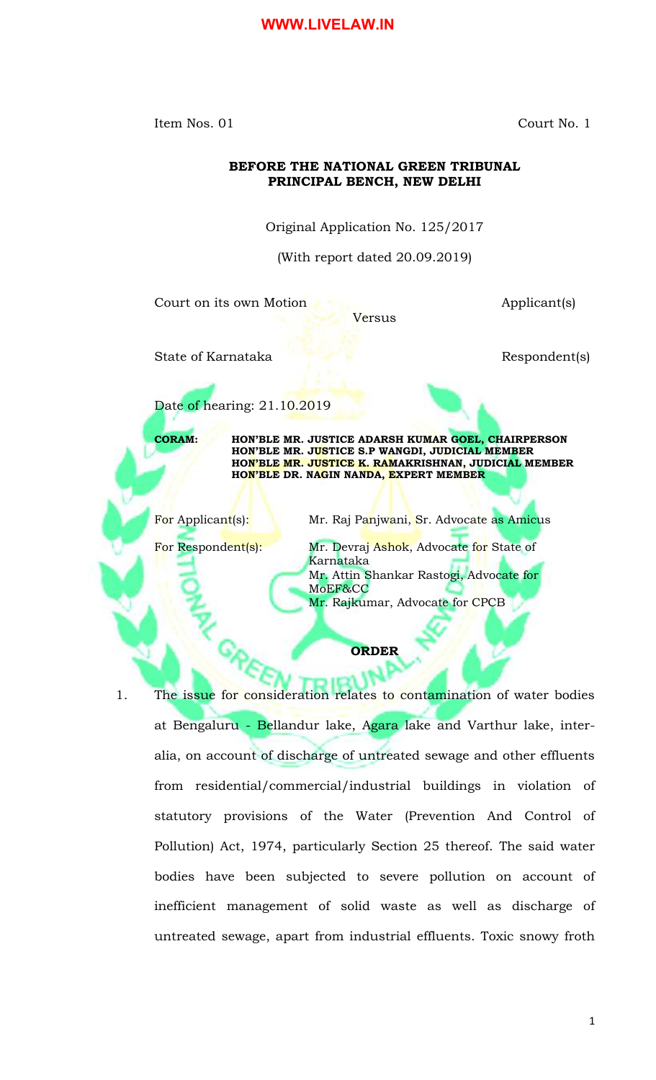Item Nos. 01 Court No. 1

## **BEFORE THE NATIONAL GREEN TRIBUNAL PRINCIPAL BENCH, NEW DELHI**

Original Application No. 125/2017

(With report dated 20.09.2019)

Versus

Court on its own Motion **Applicant**(s)

State of Karnataka **Respondent**(s)



Date of hearing: 21.10.2019

**CORAM: HON'BLE MR. JUSTICE ADARSH KUMAR GOEL, CHAIRPERSON HON'BLE MR. JUSTICE S.P WANGDI, JUDICIAL MEMBER HON'BLE MR. JUSTICE K. RAMAKRISHNAN, JUDICIAL MEMBER HON'BLE DR. NAGIN NANDA, EXPERT MEMBER**

For Applicant(s): Mr. Raj Panjwani, Sr. Advocate as Amicus

For Respondent(s): Mr. Devraj Ashok, Advocate for State of Karnataka Mr. Attin Shankar Rastogi, Advocate for MoEF&CC Mr. Rajkumar, Advocate for CPCB

# **ORDER**

1. The issue for consideration relates to contamination of water bodies at Bengaluru - Bellandur lake, Agara lake and Varthur lake, interalia, on account of discharge of untreated sewage and other effluents from residential/commercial/industrial buildings in violation of statutory provisions of the Water (Prevention And Control of Pollution) Act, 1974, particularly Section 25 thereof. The said water bodies have been subjected to severe pollution on account of inefficient management of solid waste as well as discharge of untreated sewage, apart from industrial effluents. Toxic snowy froth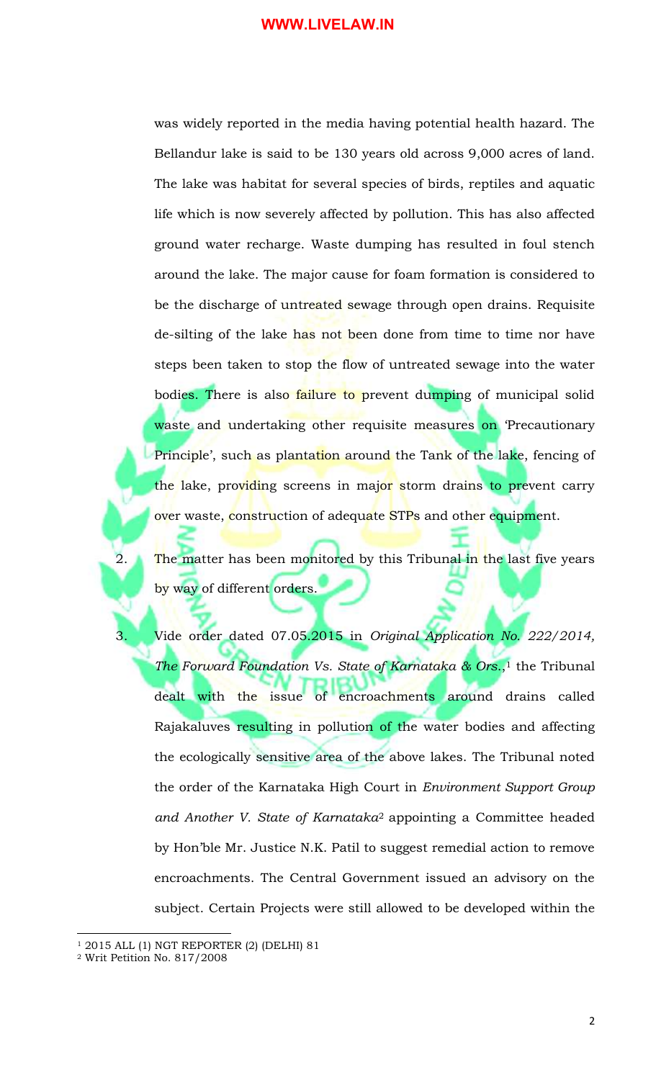was widely reported in the media having potential health hazard. The Bellandur lake is said to be 130 years old across 9,000 acres of land. The lake was habitat for several species of birds, reptiles and aquatic life which is now severely affected by pollution. This has also affected ground water recharge. Waste dumping has resulted in foul stench around the lake. The major cause for foam formation is considered to be the discharge of untreated sewage through open drains. Requisite de-silting of the lake has not been done from time to time nor have steps been taken to stop the flow of untreated sewage into the water bodies. There is also failure to prevent dumping of municipal solid waste and undertaking other requisite measures on Precautionary Principle', such as plantation around the Tank of the lake, fencing of the lake, providing screens in major storm drains to prevent carry over waste, construction of adequate STPs and other equipment.

2. The matter has been monitored by this Tribunal in the last five years by way of different orders.

3. Vide order dated 07.05.2015 in *Original Application No. 222/2014, The Forward Foundation Vs. State of Karnataka & Ors*., <sup>1</sup> the Tribunal dealt with the issue of encroachments around drains called Rajakaluves resulting in pollution of the water bodies and affecting the ecologically sensitive area of the above lakes. The Tribunal noted the order of the Karnataka High Court in *Environment Support Group and Another V. State of Karnataka*<sup>2</sup> appointing a Committee headed by Hon'ble Mr. Justice N.K. Patil to suggest remedial action to remove encroachments. The Central Government issued an advisory on the subject. Certain Projects were still allowed to be developed within the

 $\overline{\phantom{a}}$ 

<sup>1</sup> 2015 ALL (1) NGT REPORTER (2) (DELHI) 81

<sup>2</sup> Writ Petition No. 817/2008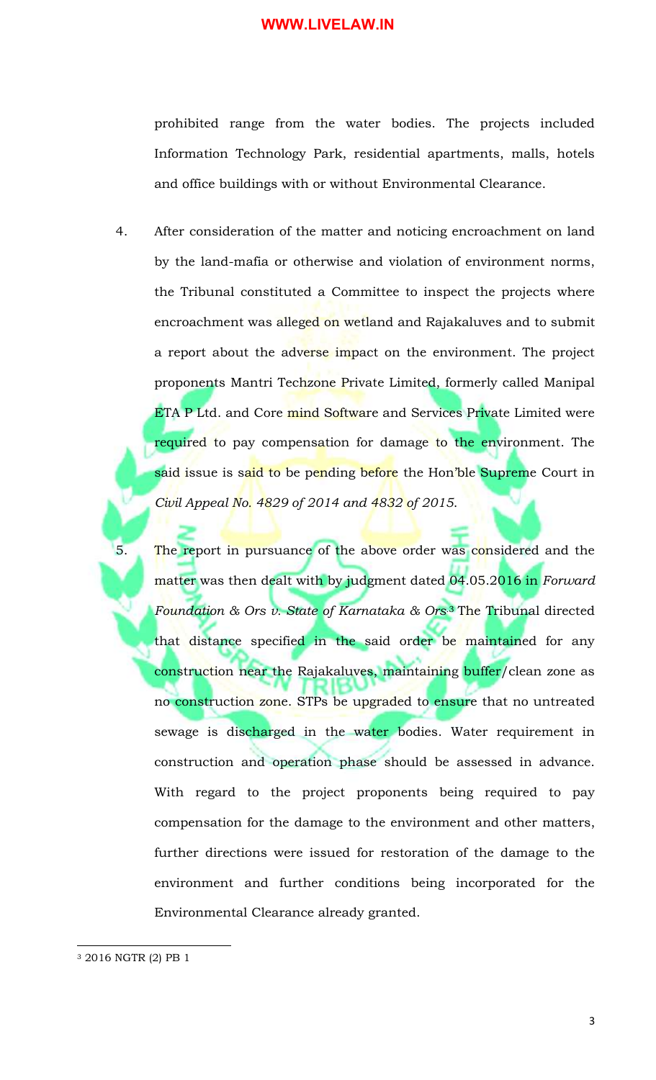prohibited range from the water bodies. The projects included Information Technology Park, residential apartments, malls, hotels and office buildings with or without Environmental Clearance.

- 4. After consideration of the matter and noticing encroachment on land by the land-mafia or otherwise and violation of environment norms, the Tribunal constituted a Committee to inspect the projects where encroachment was alleged on wetland and Rajakaluves and to submit a report about the adverse impact on the environment. The project proponents Mantri Techzone Private Limited, formerly called Manipal ETA P Ltd. and Core mind Software and Services Private Limited were required to pay compensation for damage to the environment. The said issue is said to be pending before the Hon'ble Supreme Court in *Civil Appeal No. 4829 of 2014 and 4832 of 2015*.
- 5. The report in pursuance of the above order was considered and the matter was then dealt with by judgment dated 04.05.2016 in *Forward Foundation & Ors v. State of Karnataka & Ors.*<sup>3</sup> The Tribunal directed that distance specified in the said order be maintained for any construction near the Rajakaluves, maintaining buffer/clean zone as no construction zone. STPs be upgraded to ensure that no untreated sewage is discharged in the water bodies. Water requirement in construction and operation phase should be assessed in advance. With regard to the project proponents being required to pay compensation for the damage to the environment and other matters, further directions were issued for restoration of the damage to the environment and further conditions being incorporated for the Environmental Clearance already granted.

 $\overline{a}$ 

<sup>3</sup> 2016 NGTR (2) PB 1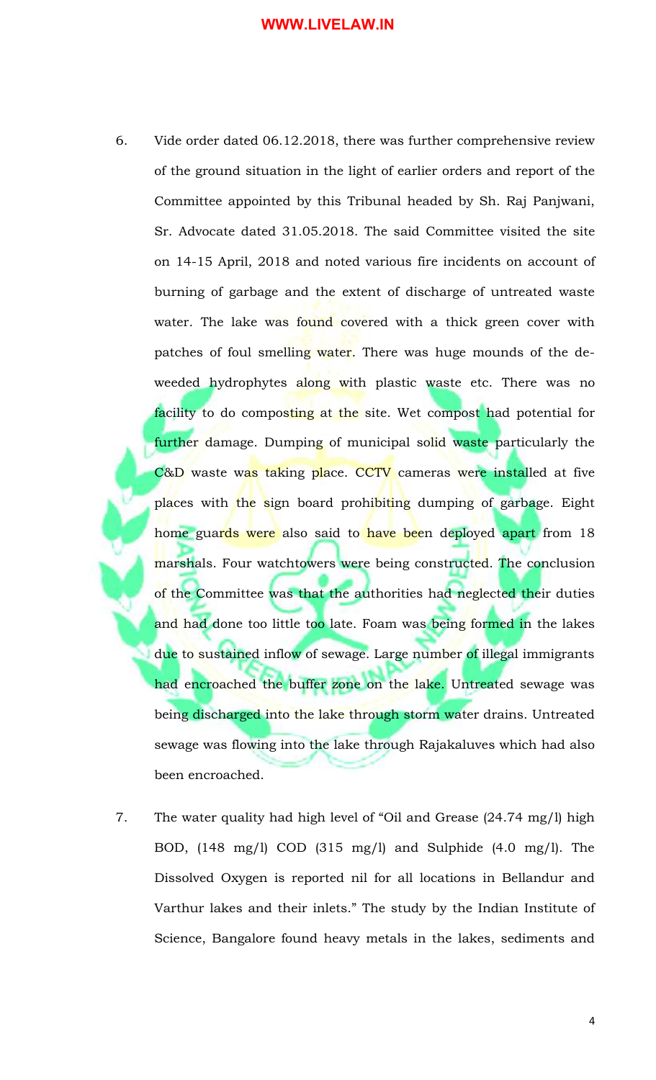- 6. Vide order dated 06.12.2018, there was further comprehensive review of the ground situation in the light of earlier orders and report of the Committee appointed by this Tribunal headed by Sh. Raj Panjwani, Sr. Advocate dated 31.05.2018. The said Committee visited the site on 14-15 April, 2018 and noted various fire incidents on account of burning of garbage and the extent of discharge of untreated waste water. The lake was found covered with a thick green cover with patches of foul smelling water. There was huge mounds of the deweeded hydrophytes along with plastic waste etc. There was no facility to do composting at the site. Wet compost had potential for further damage. Dumping of municipal solid waste particularly the C&D waste was taking place. CCTV cameras were installed at five places with the sign board prohibiting dumping of garbage. Eight home guards were also said to have been deployed apart from 18 marshals. Four watchtowers were being constructed. The conclusion of the Committee was that the authorities had neglected their duties and had done too little too late. Foam was being formed in the lakes due to sustained inflow of sewage. Large number of illegal immigrants had encroached the buffer zone on the lake. Untreated sewage was being discharged into the lake through storm water drains. Untreated sewage was flowing into the lake through Rajakaluves which had also been encroached.
- 7. The water quality had high level of "Oil and Grease (24.74 mg/l) high BOD, (148 mg/l) COD (315 mg/l) and Sulphide (4.0 mg/l). The Dissolved Oxygen is reported nil for all locations in Bellandur and Varthur lakes and their inlets." The study by the Indian Institute of Science, Bangalore found heavy metals in the lakes, sediments and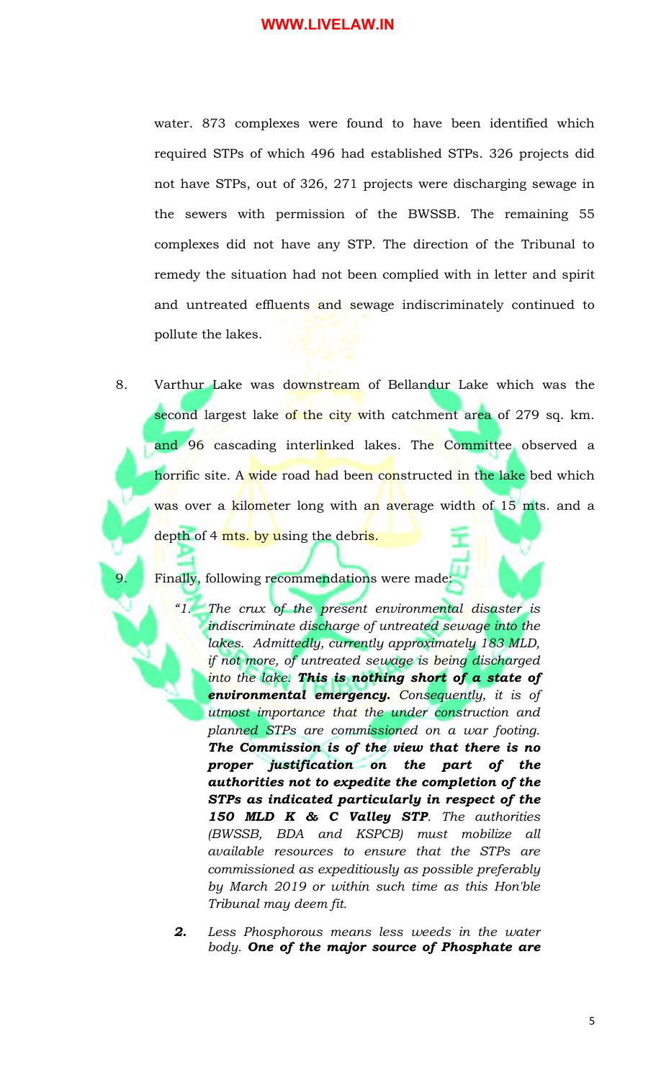water. 873 complexes were found to have been identified which required STPs of which 496 had established STPs. 326 projects did not have STPs, out of 326, 271 projects were discharging sewage in the sewers with permission of the BWSSB. The remaining 55 complexes did not have any STP. The direction of the Tribunal to remedy the situation had not been complied with in letter and spirit and untreated effluents and sewage indiscriminately continued to pollute the lakes.

8. Varthur Lake was downstream of Bellandur Lake which was the second largest lake of the city with catchment area of 279 sq. km. and 96 cascading interlinked lakes. The Committee observed a horrific site. A wide road had been constructed in the lake bed which was over a <mark>kilome</mark>ter long with an average width of 15 mts. and a depth of 4 mts. by using the debris.

## Finally, following recommendations were made:

- *"1. The crux of the present environmental disaster is indiscriminate discharge of untreated sewage into the lakes. Admittedly, currently approximately 183 MLD, if not more, of untreated sewage is being discharged into the lake. This is nothing short of a state of environmental emergency. Consequently, it is of utmost importance that the under construction and planned STPs are commissioned on a war footing. The Commission is of the view that there is no proper justification on the part of the authorities not to expedite the completion of the STPs as indicated particularly in respect of the 150 MLD K & C Valley STP. The authorities (BWSSB, BDA and KSPCB) must mobilize all available resources to ensure that the STPs are commissioned as expeditiously as possible preferably by March 2019 or within such time as this Hon'ble Tribunal may deem fit.*
- *2. Less Phosphorous means less weeds in the water body. One of the major source of Phosphate are*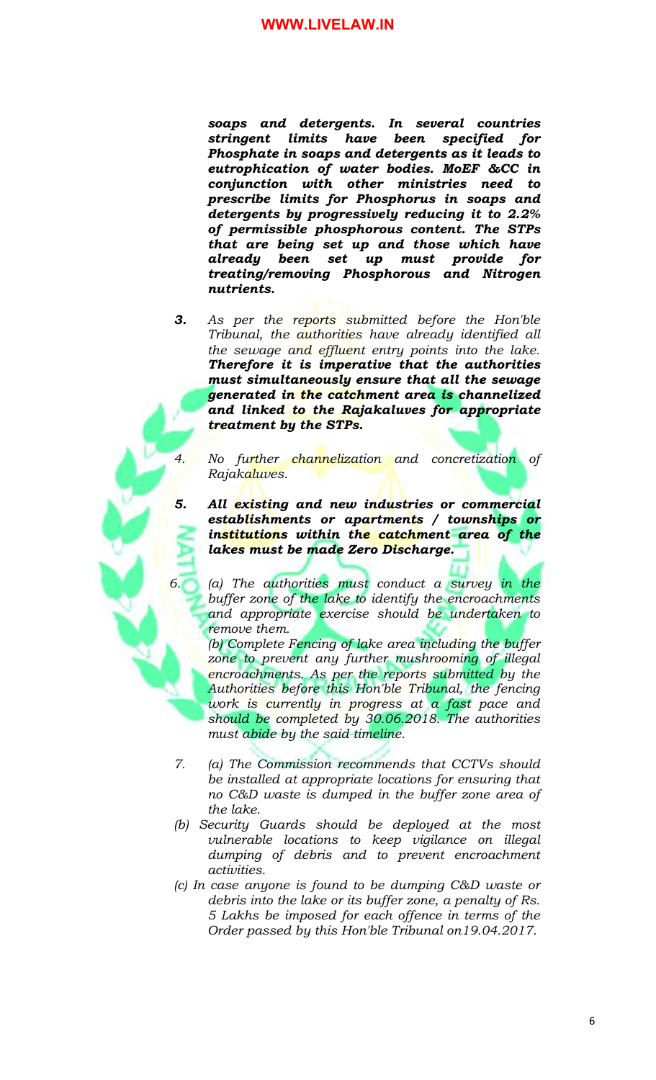*soaps and detergents. In several countries stringent limits have been specified for Phosphate in soaps and detergents as it leads to eutrophication of water bodies. MoEF &CC in conjunction with other ministries need to prescribe limits for Phosphorus in soaps and detergents by progressively reducing it to 2.2% of permissible phosphorous content. The STPs that are being set up and those which have already been set up must provide for treating/removing Phosphorous and Nitrogen nutrients.* 

*3. As per the reports submitted before the Hon'ble Tribunal, the authorities have already identified all the sewage and effluent entry points into the lake. Therefore it is imperative that the authorities must simultaneously ensure that all the sewage generated in the catchment area is channelized and linked to the Rajakaluves for appropriate treatment by the STPs.*

*4. No further channelization and concretization of Rajakaluves.*

*5. All existing and new industries or commercial establishments or apartments / townships or institutions within the catchment area of the lakes must be made Zero Discharge.*

*6. (a) The authorities must conduct a survey in the buffer zone of the lake to identify the encroachments and appropriate exercise should be undertaken to remove them.*

*(b) Complete Fencing of lake area including the buffer zone to prevent any further mushrooming of illegal encroachments. As per the reports submitted by the Authorities before this Hon'ble Tribunal, the fencing work is currently in progress at a fast pace and should be completed by 30.06.2018. The authorities must abide by the said timeline.*

- *7. (a) The Commission recommends that CCTVs should be installed at appropriate locations for ensuring that no C&D waste is dumped in the buffer zone area of the lake.*
- *(b) Security Guards should be deployed at the most vulnerable locations to keep vigilance on illegal dumping of debris and to prevent encroachment activities.*
- *(c) In case anyone is found to be dumping C&D waste or debris into the lake or its buffer zone, a penalty of Rs. 5 Lakhs be imposed for each offence in terms of the Order passed by this Hon'ble Tribunal on19.04.2017.*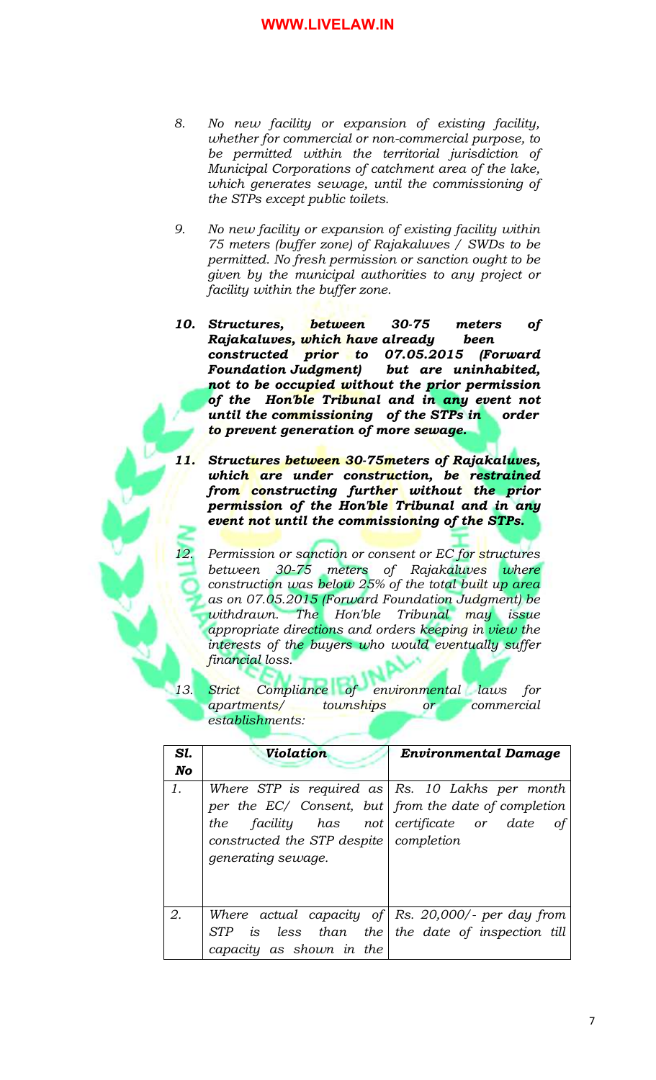- *8. No new facility or expansion of existing facility, whether for commercial or non-commercial purpose, to be permitted within the territorial jurisdiction of Municipal Corporations of catchment area of the lake, which generates sewage, until the commissioning of the STPs except public toilets.*
- *9. No new facility or expansion of existing facility within 75 meters (buffer zone) of Rajakaluves / SWDs to be permitted. No fresh permission or sanction ought to be given by the municipal authorities to any project or facility within the buffer zone.*
- *10. Structures, between 30-75 meters of Rajakaluves, which have already been constructed prior to 07.05.2015 (Forward Foundation Judgment) but are uninhabited, not to be occupied without the prior permission of the Hon'ble Tribunal and in any event not until the commissioning of the STPs in order to prevent generation of more sewage.*
- *11. Structures between 30-75meters of Rajakaluves, which are under construction, be restrained from constructing further without the prior permission of the Hon'ble Tribunal and in any event not until the commissioning of the STPs.*
- *12. Permission or sanction or consent or EC for structures between 30-75 meters of Rajakaluves where construction was below 25% of the total built up area as on 07.05.2015 (Forward Foundation Judgment) be withdrawn. The Hon'ble Tribunal may issue appropriate directions and orders keeping in view the interests of the buyers who would eventually suffer financial loss.*
- *13. Strict Compliance of environmental laws for apartments/ townships or commercial establishments:*

| Sl. | Violation                                                                                                                                                                                 | <b>Environmental Damage</b>                  |
|-----|-------------------------------------------------------------------------------------------------------------------------------------------------------------------------------------------|----------------------------------------------|
| No  |                                                                                                                                                                                           |                                              |
| 1.  | Where STP is required as $\mid$ Rs. 10 Lakhs per month<br>per the EC/ Consent, but   from the date of completion<br>the<br>constructed the STP despite   completion<br>generating sewage. | facility has not certificate or date<br>οf   |
| 2.  | Where actual capacity of $\mathsf{Rs.}$ 20,000/- per day from                                                                                                                             |                                              |
|     | <i>STP</i><br>capacity as shown in the                                                                                                                                                    | is less than the the date of inspection till |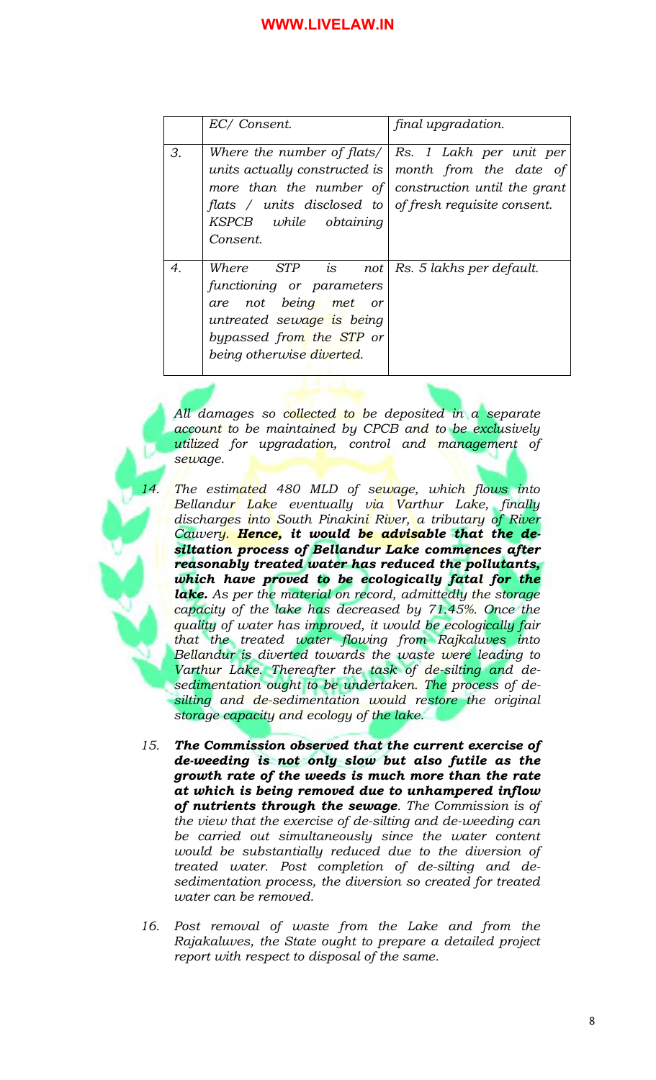|    | EC/ Consent.                                                                                                                                                                                                                                                | final upgradation.       |
|----|-------------------------------------------------------------------------------------------------------------------------------------------------------------------------------------------------------------------------------------------------------------|--------------------------|
| 3. | Where the number of flats/ $\vert$ Rs. 1 Lakh per unit per<br>units actually constructed is<br>more than the number of construction until the grant<br>flats / units disclosed to $\sigma$ of fresh requisite consent.<br>KSPCB while obtaining<br>Consent. | month from the date of   |
| 4. | Where $STP$ is not<br>functioning or parameters<br>are not being met or<br>untreated sewage is being<br>bypassed from the STP or<br>being otherwise diverted.                                                                                               | Rs. 5 lakhs per default. |

*All damages so collected to be deposited in a separate account to be maintained by CPCB and to be exclusively utilized for upgradation, control and management of sewage.*

- *14. The estimated 480 MLD of sewage, which flows into Bellandur Lake eventually via Varthur Lake, finally discharges into South Pinakini River, a tributary of River Cauvery. Hence, it would be advisable that the desiltation process of Bellandur Lake commences after reasonably treated water has reduced the pollutants, which have proved to be ecologically fatal for the lake. As per the material on record, admittedly the storage capacity of the lake has decreased by 71.45%. Once the quality of water has improved, it would be ecologically fair that the treated water flowing from Rajkaluves into Bellandur is diverted towards the waste were leading to Varthur Lake. Thereafter the task of de-silting and desedimentation ought to be undertaken. The process of desilting and de-sedimentation would restore the original storage capacity and ecology of the lake.*
- *15. The Commission observed that the current exercise of de-weeding is not only slow but also futile as the growth rate of the weeds is much more than the rate at which is being removed due to unhampered inflow of nutrients through the sewage. The Commission is of the view that the exercise of de-silting and de-weeding can be carried out simultaneously since the water content would be substantially reduced due to the diversion of treated water. Post completion of de-silting and desedimentation process, the diversion so created for treated water can be removed.*
- *16. Post removal of waste from the Lake and from the Rajakaluves, the State ought to prepare a detailed project report with respect to disposal of the same.*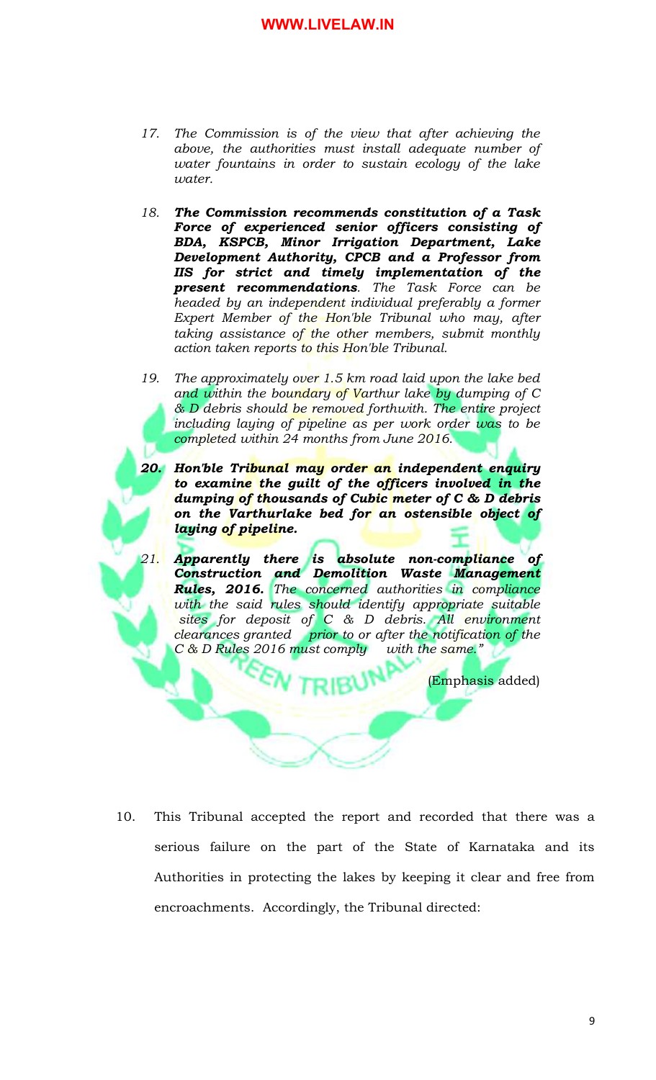- *17. The Commission is of the view that after achieving the above, the authorities must install adequate number of water fountains in order to sustain ecology of the lake water.*
- *18. The Commission recommends constitution of a Task Force of experienced senior officers consisting of BDA, KSPCB, Minor Irrigation Department, Lake Development Authority, CPCB and a Professor from IIS for strict and timely implementation of the present recommendations. The Task Force can be headed by an independent individual preferably a former Expert Member of the Hon'ble Tribunal who may, after taking assistance of the other members, submit monthly action taken reports to this Hon'ble Tribunal.*
- *19. The approximately over 1.5 km road laid upon the lake bed and within the boundary of Varthur lake by dumping of C & D debris should be removed forthwith. The entire project including laying of pipeline as per work order was to be completed within 24 months from June 2016.*
- *20. Hon'ble Tribunal may order an independent enquiry to examine the guilt of the officers involved in the dumping of thousands of Cubic meter of C & D debris on the Varthurlake bed for an ostensible object of laying of pipeline.*
- *21. Apparently there is absolute non-compliance of Construction and Demolition Waste Management Rules, 2016. The concerned authorities in compliance with the said rules should identify appropriate suitable sites for deposit of C & D debris. All environment clearances granted prior to or after the notification of the C & D Rules 2016 must comply with the same."*

(Emphasis added)

10. This Tribunal accepted the report and recorded that there was a serious failure on the part of the State of Karnataka and its Authorities in protecting the lakes by keeping it clear and free from encroachments. Accordingly, the Tribunal directed: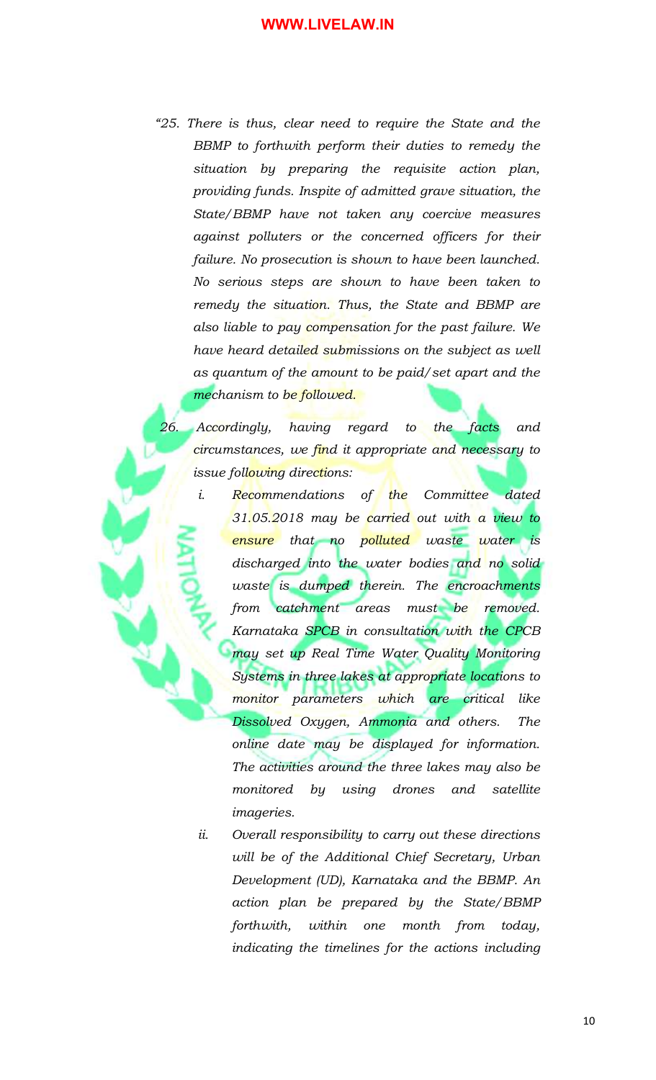*"25. There is thus, clear need to require the State and the BBMP to forthwith perform their duties to remedy the situation by preparing the requisite action plan, providing funds. Inspite of admitted grave situation, the State/BBMP have not taken any coercive measures against polluters or the concerned officers for their failure. No prosecution is shown to have been launched. No serious steps are shown to have been taken to remedy the situation. Thus, the State and BBMP are also liable to pay compensation for the past failure. We have heard detailed submissions on the subject as well as quantum of the amount to be paid/set apart and the mechanism to be followed.*

*26. Accordingly, having regard to the facts and circumstances, we find it appropriate and necessary to issue following directions:*

- *i. Recommendations of the Committee dated 31.05.2018 may be carried out with a view to ensure that no polluted waste water is discharged into the water bodies and no solid waste is dumped therein. The encroachments from catchment areas must be removed. Karnataka SPCB in consultation with the CPCB may set up Real Time Water Quality Monitoring Systems in three lakes at appropriate locations to monitor parameters which are critical like Dissolved Oxygen, Ammonia and others. The online date may be displayed for information. The activities around the three lakes may also be monitored by using drones and satellite imageries.*
- *ii. Overall responsibility to carry out these directions will be of the Additional Chief Secretary, Urban Development (UD), Karnataka and the BBMP. An action plan be prepared by the State/BBMP forthwith, within one month from today, indicating the timelines for the actions including*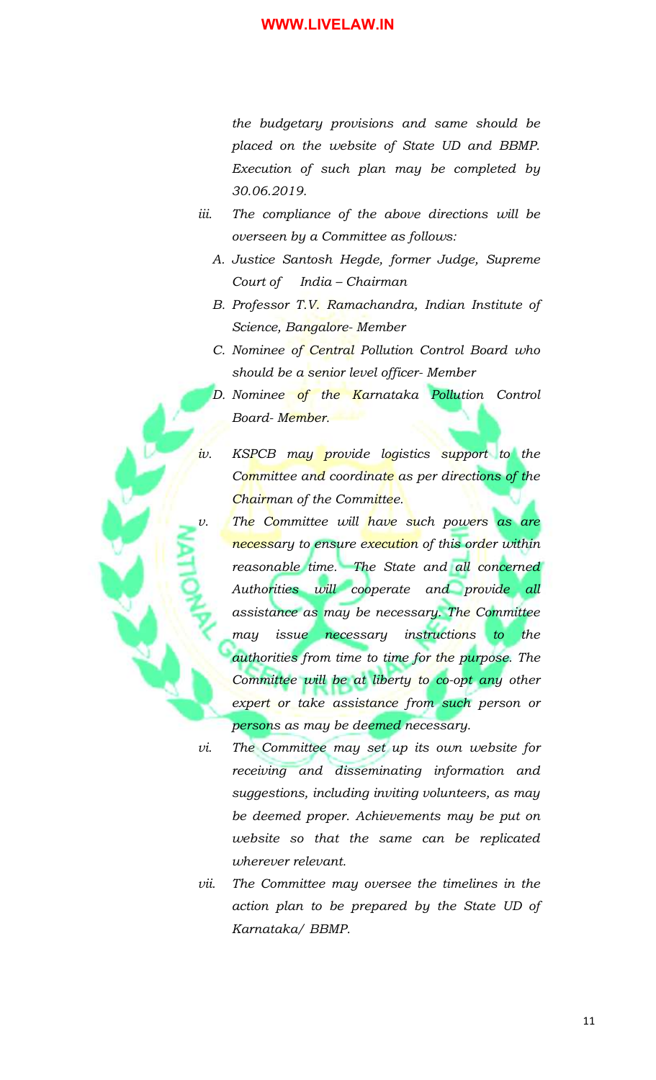*the budgetary provisions and same should be placed on the website of State UD and BBMP. Execution of such plan may be completed by 30.06.2019.* 

- *iii. The compliance of the above directions will be overseen by a Committee as follows:*
	- *A. Justice Santosh Hegde, former Judge, Supreme Court of India – Chairman*
	- *B. Professor T.V. Ramachandra, Indian Institute of Science, Bangalore- Member*
	- *C. Nominee of Central Pollution Control Board who should be a senior level officer- Member*

*D. Nominee of the Karnataka Pollution Control Board- Member.*

- *iv. KSPCB may provide logistics support to the Committee and coordinate as per directions of the Chairman of the Committee.*
- *v. The Committee will have such powers as are necessary to ensure execution of this order within reasonable time. The State and all concerned Authorities will cooperate and provide all assistance as may be necessary. The Committee may issue necessary instructions to the authorities from time to time for the purpose. The Committee will be at liberty to co-opt any other expert or take assistance from such person or persons as may be deemed necessary.*
- *vi. The Committee may set up its own website for receiving and disseminating information and suggestions, including inviting volunteers, as may be deemed proper. Achievements may be put on website so that the same can be replicated wherever relevant.*
- *vii. The Committee may oversee the timelines in the action plan to be prepared by the State UD of Karnataka/ BBMP.*

11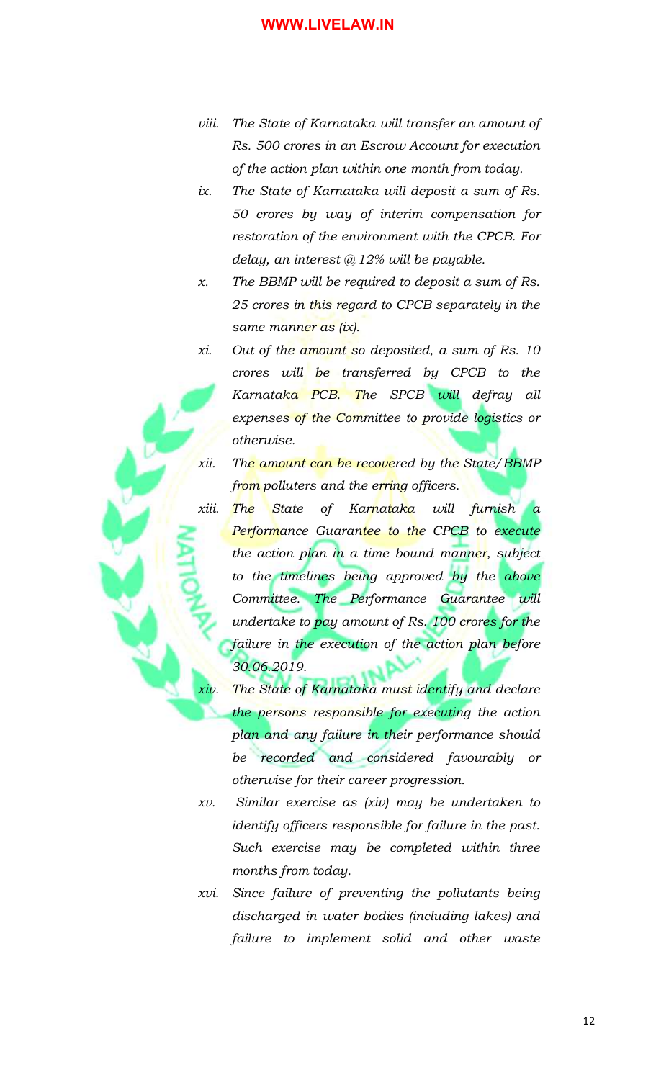- *viii. The State of Karnataka will transfer an amount of Rs. 500 crores in an Escrow Account for execution of the action plan within one month from today.*
- *ix. The State of Karnataka will deposit a sum of Rs. 50 crores by way of interim compensation for restoration of the environment with the CPCB. For delay, an interest @ 12% will be payable.*
- *x. The BBMP will be required to deposit a sum of Rs. 25 crores in this regard to CPCB separately in the same manner as (ix).*
- *xi. Out of the amount so deposited, a sum of Rs. 10 crores will be transferred by CPCB to the Karnataka PCB. The SPCB will defray all expenses of the Committee to provide logistics or otherwise.*
- *xii. The amount can be recovered by the State/BBMP from polluters and the erring officers.*

- *xiii. The State of Karnataka will furnish a Performance Guarantee to the CPCB to execute the action plan in a time bound manner, subject to the timelines being approved by the above Committee. The Performance Guarantee will undertake to pay amount of Rs. 100 crores for the failure in the execution of the action plan before 30.06.2019.*
	- *xiv. The State of Karnataka must identify and declare the persons responsible for executing the action plan and any failure in their performance should be recorded and considered favourably or otherwise for their career progression.*
- *xv. Similar exercise as (xiv) may be undertaken to identify officers responsible for failure in the past. Such exercise may be completed within three months from today.*
- *xvi. Since failure of preventing the pollutants being discharged in water bodies (including lakes) and failure to implement solid and other waste*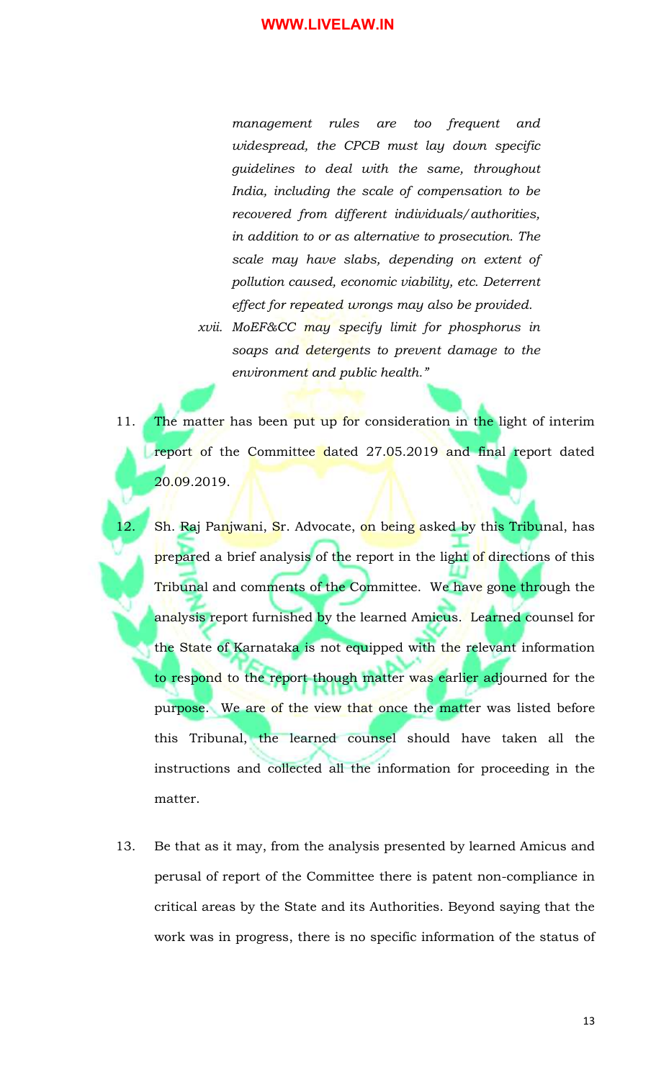*management rules are too frequent and widespread, the CPCB must lay down specific guidelines to deal with the same, throughout India, including the scale of compensation to be recovered from different individuals/authorities, in addition to or as alternative to prosecution. The scale may have slabs, depending on extent of pollution caused, economic viability, etc. Deterrent effect for repeated wrongs may also be provided.* 

*xvii. MoEF&CC may specify limit for phosphorus in soaps and detergents to prevent damage to the environment and public health."*

- 11. The matter has been put up for consideration in the light of interim report of the Committee dated 27.05.2019 and final report dated 20.09.2019.
- Sh. Raj Panjwani, Sr. Advocate, on being asked by this Tribunal, has prepared a brief analysis of the report in the light of directions of this Tribunal and comments of the Committee. We have gone through the analysis report furnished by the learned Amicus. Learned counsel for the State of Karnataka is not equipped with the relevant information to respond to the report though matter was earlier adjourned for the purpose. We are of the view that once the matter was listed before this Tribunal, the learned counsel should have taken all the instructions and collected all the information for proceeding in the matter.
	- 13. Be that as it may, from the analysis presented by learned Amicus and perusal of report of the Committee there is patent non-compliance in critical areas by the State and its Authorities. Beyond saying that the work was in progress, there is no specific information of the status of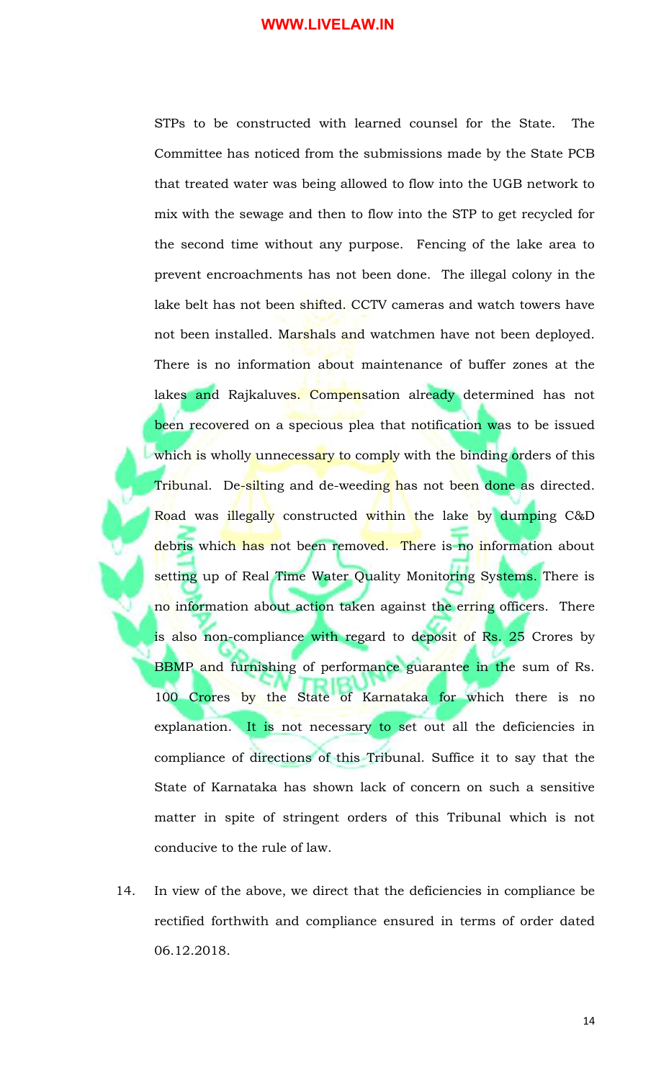STPs to be constructed with learned counsel for the State. The Committee has noticed from the submissions made by the State PCB that treated water was being allowed to flow into the UGB network to mix with the sewage and then to flow into the STP to get recycled for the second time without any purpose. Fencing of the lake area to prevent encroachments has not been done. The illegal colony in the lake belt has not been shifted. CCTV cameras and watch towers have not been installed. Marshals and watchmen have not been deployed. There is no information about maintenance of buffer zones at the lakes and Rajkaluves. Compensation already determined has not been recovered on a specious plea that notification was to be issued which is wholly unnecessary to comply with the binding orders of this Tribunal. De-silting and de-weeding has not been done as directed. Road was illegally constructed within the lake by dumping C&D debris which has not been removed. There is no information about setting up of Real Time Water Quality Monitoring Systems. There is no information about action taken against the erring officers. There is also non-compliance with regard to deposit of Rs. 25 Crores by BBMP and furnishing of performance guarantee in the sum of Rs. 100 Crores by the State of Karnataka for which there is no explanation. It is not necessary to set out all the deficiencies in compliance of directions of this Tribunal. Suffice it to say that the State of Karnataka has shown lack of concern on such a sensitive matter in spite of stringent orders of this Tribunal which is not conducive to the rule of law.

14. In view of the above, we direct that the deficiencies in compliance be rectified forthwith and compliance ensured in terms of order dated 06.12.2018.